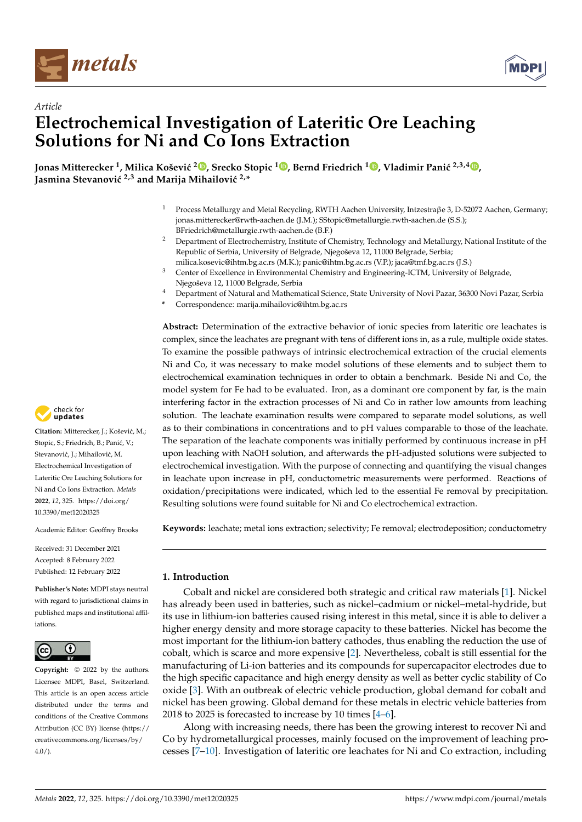



# *Article* **Electrochemical Investigation of Lateritic Ore Leaching Solutions for Ni and Co Ions Extraction**

<code>Jonas Mitterecker <sup>1</sup>, Milica Košević <sup>[2](https://orcid.org/0000-0002-2105-4425)</sup>©[,](https://orcid.org/0000-0002-8358-7956) Srecko Stopic <sup>1</sup>©, Bernd Friedrich <sup>1</sup>©, Vladimir Panić <sup>2,3,4</sup>©,</code> **Iasmina Stevanović** <sup>2,3</sup> and Marija Mihailović<sup>2,\*</sup>

- <sup>1</sup> Process Metallurgy and Metal Recycling, RWTH Aachen University, Intzestraβe 3, D-52072 Aachen, Germany; jonas.mitterecker@rwth-aachen.de (J.M.); SStopic@metallurgie.rwth-aachen.de (S.S.); BFriedrich@metallurgie.rwth-aachen.de (B.F.)
- <sup>2</sup> Department of Electrochemistry, Institute of Chemistry, Technology and Metallurgy, National Institute of the Republic of Serbia, University of Belgrade, Njegoševa 12, 11000 Belgrade, Serbia; milica.kosevic@ihtm.bg.ac.rs (M.K.); panic@ihtm.bg.ac.rs (V.P.); jaca@tmf.bg.ac.rs (J.S.)
- <sup>3</sup> Center of Excellence in Environmental Chemistry and Engineering-ICTM, University of Belgrade, Njegoševa 12, 11000 Belgrade, Serbia
- <sup>4</sup> Department of Natural and Mathematical Science, State University of Novi Pazar, 36300 Novi Pazar, Serbia
- **\*** Correspondence: marija.mihailovic@ihtm.bg.ac.rs

**Abstract:** Determination of the extractive behavior of ionic species from lateritic ore leachates is complex, since the leachates are pregnant with tens of different ions in, as a rule, multiple oxide states. To examine the possible pathways of intrinsic electrochemical extraction of the crucial elements Ni and Co, it was necessary to make model solutions of these elements and to subject them to electrochemical examination techniques in order to obtain a benchmark. Beside Ni and Co, the model system for Fe had to be evaluated. Iron, as a dominant ore component by far, is the main interfering factor in the extraction processes of Ni and Co in rather low amounts from leaching solution. The leachate examination results were compared to separate model solutions, as well as to their combinations in concentrations and to pH values comparable to those of the leachate. The separation of the leachate components was initially performed by continuous increase in pH upon leaching with NaOH solution, and afterwards the pH-adjusted solutions were subjected to electrochemical investigation. With the purpose of connecting and quantifying the visual changes in leachate upon increase in pH, conductometric measurements were performed. Reactions of oxidation/precipitations were indicated, which led to the essential Fe removal by precipitation. Resulting solutions were found suitable for Ni and Co electrochemical extraction.

**Keywords:** leachate; metal ions extraction; selectivity; Fe removal; electrodeposition; conductometry

# **1. Introduction**

Cobalt and nickel are considered both strategic and critical raw materials [\[1\]](#page-9-0). Nickel has already been used in batteries, such as nickel–cadmium or nickel–metal-hydride, but its use in lithium-ion batteries caused rising interest in this metal, since it is able to deliver a higher energy density and more storage capacity to these batteries. Nickel has become the most important for the lithium-ion battery cathodes, thus enabling the reduction the use of cobalt, which is scarce and more expensive [\[2\]](#page-9-1). Nevertheless, cobalt is still essential for the manufacturing of Li-ion batteries and its compounds for supercapacitor electrodes due to the high specific capacitance and high energy density as well as better cyclic stability of Co oxide [\[3\]](#page-9-2). With an outbreak of electric vehicle production, global demand for cobalt and nickel has been growing. Global demand for these metals in electric vehicle batteries from 2018 to 2025 is forecasted to increase by 10 times [\[4–](#page-9-3)[6\]](#page-9-4).

Along with increasing needs, there has been the growing interest to recover Ni and Co by hydrometallurgical processes, mainly focused on the improvement of leaching processes [\[7–](#page-9-5)[10\]](#page-10-0). Investigation of lateritic ore leachates for Ni and Co extraction, including



Citation: Mitterecker, J.; Košević, M.; Stopic, S.; Friedrich, B.; Panić, V.; Stevanović, J.; Mihailović, M. Electrochemical Investigation of Lateritic Ore Leaching Solutions for Ni and Co Ions Extraction. *Metals* **2022**, *12*, 325. [https://doi.org/](https://doi.org/10.3390/met12020325) [10.3390/met12020325](https://doi.org/10.3390/met12020325)

Academic Editor: Geoffrey Brooks

Received: 31 December 2021 Accepted: 8 February 2022 Published: 12 February 2022

**Publisher's Note:** MDPI stays neutral with regard to jurisdictional claims in published maps and institutional affiliations.



**Copyright:** © 2022 by the authors. Licensee MDPI, Basel, Switzerland. This article is an open access article distributed under the terms and conditions of the Creative Commons Attribution (CC BY) license [\(https://](https://creativecommons.org/licenses/by/4.0/) [creativecommons.org/licenses/by/](https://creativecommons.org/licenses/by/4.0/)  $4.0/$ ).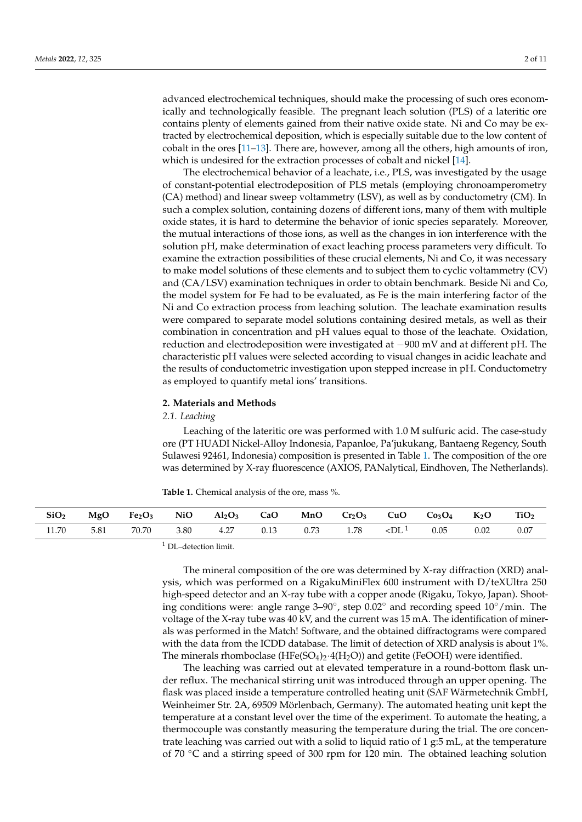advanced electrochemical techniques, should make the processing of such ores economically and technologically feasible. The pregnant leach solution (PLS) of a lateritic ore contains plenty of elements gained from their native oxide state. Ni and Co may be extracted by electrochemical deposition, which is especially suitable due to the low content of cobalt in the ores [\[11–](#page-10-1)[13\]](#page-10-2). There are, however, among all the others, high amounts of iron, which is undesired for the extraction processes of cobalt and nickel [\[14\]](#page-10-3).

The electrochemical behavior of a leachate, i.e., PLS, was investigated by the usage of constant-potential electrodeposition of PLS metals (employing chronoamperometry (CA) method) and linear sweep voltammetry (LSV), as well as by conductometry (CM). In such a complex solution, containing dozens of different ions, many of them with multiple oxide states, it is hard to determine the behavior of ionic species separately. Moreover, the mutual interactions of those ions, as well as the changes in ion interference with the solution pH, make determination of exact leaching process parameters very difficult. To examine the extraction possibilities of these crucial elements, Ni and Co, it was necessary to make model solutions of these elements and to subject them to cyclic voltammetry (CV) and (CA/LSV) examination techniques in order to obtain benchmark. Beside Ni and Co, the model system for Fe had to be evaluated, as Fe is the main interfering factor of the Ni and Co extraction process from leaching solution. The leachate examination results were compared to separate model solutions containing desired metals, as well as their combination in concentration and pH values equal to those of the leachate. Oxidation, reduction and electrodeposition were investigated at −900 mV and at different pH. The characteristic pH values were selected according to visual changes in acidic leachate and the results of conductometric investigation upon stepped increase in pH. Conductometry as employed to quantify metal ions' transitions.

## **2. Materials and Methods**

### *2.1. Leaching*

Leaching of the lateritic ore was performed with 1.0 M sulfuric acid. The case-study ore (PT HUADI Nickel-Alloy Indonesia, Papanloe, Pa'jukukang, Bantaeng Regency, South Sulawesi 92461, Indonesia) composition is presented in Table [1.](#page-1-0) The composition of the ore was determined by X-ray fluorescence (AXIOS, PANalytical, Eindhoven, The Netherlands).

<span id="page-1-0"></span>

| <b>Table 1.</b> Chemical analysis of the ore, mass %. |  |  |  |
|-------------------------------------------------------|--|--|--|
|-------------------------------------------------------|--|--|--|

| SiO <sub>2</sub> | MgO  |  | Fe <sub>2</sub> O <sub>3</sub> NiO Al <sub>2</sub> O <sub>3</sub> CaO MnO Cr <sub>2</sub> O <sub>3</sub> CuO C <sub>03</sub> O <sub>4</sub> K <sub>2</sub> O |      |  |                          |      | TiO <sub>2</sub> |
|------------------|------|--|--------------------------------------------------------------------------------------------------------------------------------------------------------------|------|--|--------------------------|------|------------------|
| 11.70            | 5.81 |  | 70.70 3.80 4.27 0.13                                                                                                                                         | 0.73 |  | 1.78 $\leq D L^{1}$ 0.05 | 0.02 | 0.07             |
|                  |      |  |                                                                                                                                                              |      |  |                          |      |                  |

DL-detection limit.

The mineral composition of the ore was determined by X-ray diffraction (XRD) analysis, which was performed on a RigakuMiniFlex 600 instrument with D/teXUltra 250 high-speed detector and an X-ray tube with a copper anode (Rigaku, Tokyo, Japan). Shooting conditions were: angle range 3–90◦ , step 0.02◦ and recording speed 10◦/min. The voltage of the X-ray tube was 40 kV, and the current was 15 mA. The identification of minerals was performed in the Match! Software, and the obtained diffractograms were compared with the data from the ICDD database. The limit of detection of XRD analysis is about 1%. The minerals rhomboclase (HFe(SO<sub>4</sub>)<sub>2</sub>·4(H<sub>2</sub>O)) and getite (FeOOH) were identified.

The leaching was carried out at elevated temperature in a round-bottom flask under reflux. The mechanical stirring unit was introduced through an upper opening. The flask was placed inside a temperature controlled heating unit (SAF Wärmetechnik GmbH, Weinheimer Str. 2A, 69509 Mörlenbach, Germany). The automated heating unit kept the temperature at a constant level over the time of the experiment. To automate the heating, a thermocouple was constantly measuring the temperature during the trial. The ore concentrate leaching was carried out with a solid to liquid ratio of 1 g:5 mL, at the temperature of 70 ◦C and a stirring speed of 300 rpm for 120 min. The obtained leaching solution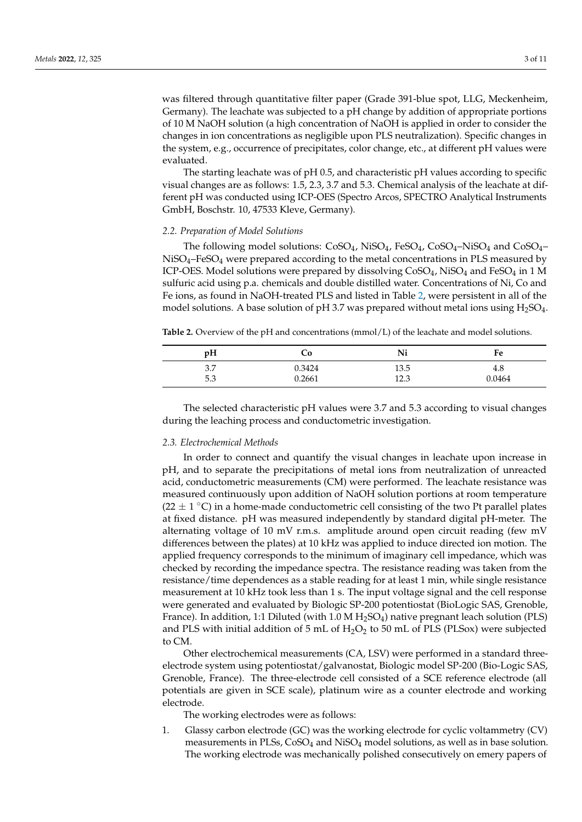was filtered through quantitative filter paper (Grade 391-blue spot, LLG, Meckenheim, Germany). The leachate was subjected to a pH change by addition of appropriate portions of 10 M NaOH solution (a high concentration of NaOH is applied in order to consider the changes in ion concentrations as negligible upon PLS neutralization). Specific changes in the system, e.g., occurrence of precipitates, color change, etc., at different pH values were evaluated.

The starting leachate was of pH 0.5, and characteristic pH values according to specific visual changes are as follows: 1.5, 2.3, 3.7 and 5.3. Chemical analysis of the leachate at different pH was conducted using ICP-OES (Spectro Arcos, SPECTRO Analytical Instruments GmbH, Boschstr. 10, 47533 Kleve, Germany).

### *2.2. Preparation of Model Solutions*

The following model solutions:  $CoSO_4$ , NiSO<sub>4</sub>, FeSO<sub>4</sub>, CoSO<sub>4</sub>–NiSO<sub>4</sub> and CoSO<sub>4</sub>–  $Niso<sub>4</sub>–FeSO<sub>4</sub>$  were prepared according to the metal concentrations in PLS measured by ICP-OES. Model solutions were prepared by dissolving  $CoSO<sub>4</sub>$ , NiSO<sub>4</sub> and FeSO<sub>4</sub> in 1 M sulfuric acid using p.a. chemicals and double distilled water. Concentrations of Ni, Co and Fe ions, as found in NaOH-treated PLS and listed in Table [2,](#page-2-0) were persistent in all of the model solutions. A base solution of pH 3.7 was prepared without metal ions using  $H_2SO_4$ .

<span id="page-2-0"></span>**Table 2.** Overview of the pH and concentrations (mmol/L) of the leachate and model solutions.

| pH  | Cο     | Ni           | Fe     |
|-----|--------|--------------|--------|
| 3.7 | 0.3424 | 13.5         | 4.8    |
| 5.3 | 0.2661 | 12 2<br>14.J | 0.0464 |

The selected characteristic pH values were 3.7 and 5.3 according to visual changes during the leaching process and conductometric investigation.

#### *2.3. Electrochemical Methods*

In order to connect and quantify the visual changes in leachate upon increase in pH, and to separate the precipitations of metal ions from neutralization of unreacted acid, conductometric measurements (CM) were performed. The leachate resistance was measured continuously upon addition of NaOH solution portions at room temperature (22  $\pm$  1 °C) in a home-made conductometric cell consisting of the two Pt parallel plates at fixed distance. pH was measured independently by standard digital pH-meter. The alternating voltage of 10 mV r.m.s. amplitude around open circuit reading (few mV differences between the plates) at 10 kHz was applied to induce directed ion motion. The applied frequency corresponds to the minimum of imaginary cell impedance, which was checked by recording the impedance spectra. The resistance reading was taken from the resistance/time dependences as a stable reading for at least 1 min, while single resistance measurement at 10 kHz took less than 1 s. The input voltage signal and the cell response were generated and evaluated by Biologic SP-200 potentiostat (BioLogic SAS, Grenoble, France). In addition, 1:1 Diluted (with  $1.0 M H_2SO_4$ ) native pregnant leach solution (PLS) and PLS with initial addition of 5 mL of  $H_2O_2$  to 50 mL of PLS (PLSox) were subjected to CM.

Other electrochemical measurements (CA, LSV) were performed in a standard threeelectrode system using potentiostat/galvanostat, Biologic model SP-200 (Bio-Logic SAS, Grenoble, France). The three-electrode cell consisted of a SCE reference electrode (all potentials are given in SCE scale), platinum wire as a counter electrode and working electrode.

The working electrodes were as follows:

1. Glassy carbon electrode (GC) was the working electrode for cyclic voltammetry (CV) measurements in PLSs, CoSO<sup>4</sup> and NiSO<sup>4</sup> model solutions, as well as in base solution. The working electrode was mechanically polished consecutively on emery papers of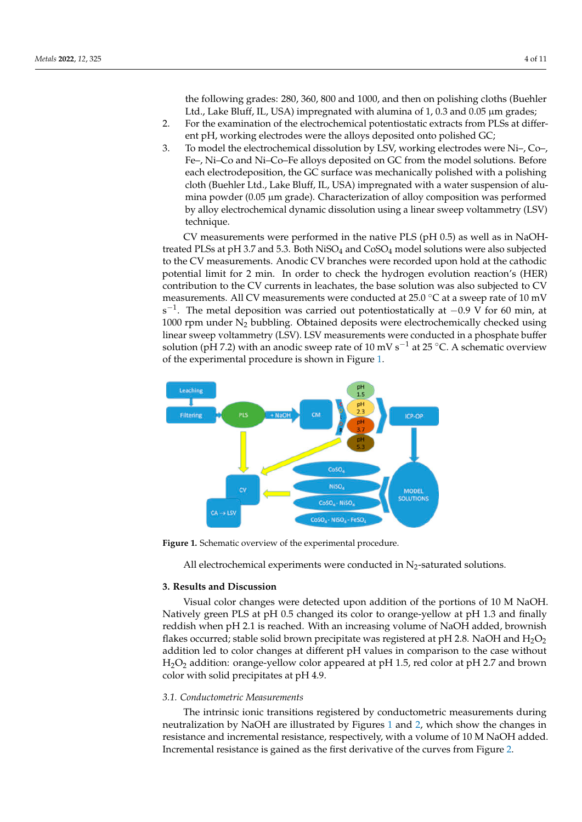the following grades: 280, 360, 800 and 1000, and then on polishing cloths (Buehler Ltd., Lake Bluff, IL, USA) impregnated with alumina of  $1$ , 0.3 and 0.05  $\mu$ m grades;

- 2. For the examination of the electrochemical potentiostatic extracts from PLSs at different pH, working electrodes were the alloys deposited onto polished GC;
- 3. To model the electrochemical dissolution by LSV, working electrodes were Ni–, Co–, Fe–, Ni–Co and Ni–Co–Fe alloys deposited on GC from the model solutions. Before each electrodeposition, the GC surface was mechanically polished with a polishing cloth (Buehler Ltd., Lake Bluff, IL, USA) impregnated with a water suspension of alumina powder (0.05 µm grade). Characterization of alloy composition was performed by alloy electrochemical dynamic dissolution using a linear sweep voltammetry (LSV) technique.

CV measurements were performed in the native PLS (pH 0.5) as well as in NaOHtreated PLSs at pH 3.7 and 5.3. Both NiSO<sub>4</sub> and CoSO<sub>4</sub> model solutions were also subjected to the CV measurements. Anodic CV branches were recorded upon hold at the cathodic potential limit for 2 min. In order to check the hydrogen evolution reaction's (HER) contribution to the CV currents in leachates, the base solution was also subjected to CV measurements. All CV measurements were conducted at  $25.0\degree$ C at a sweep rate of 10 mV s<sup>-1</sup>. The metal deposition was carried out potentiostatically at  $-0.9$  V for 60 min, at 1000 rpm under  $N_2$  bubbling. Obtained deposits were electrochemically checked using linear sweep voltammetry (LSV). LSV measurements were conducted in a phosphate buffer solution (pH 7.2) with an anodic sweep rate of 10 mV s<sup>-1</sup> at 25 °C. A schematic overview of the experimental procedure is shown in Figure [1.](#page-3-0)

<span id="page-3-0"></span>

**Figure 1.** Schematic overview of the experimental procedure.

All electrochemical experiments were conducted in  $N_2$ -saturated solutions.

# **3. Results and Discussion**

Visual color changes were detected upon addition of the portions of 10 M NaOH. Natively green PLS at pH 0.5 changed its color to orange-yellow at pH 1.3 and finally reddish when pH 2.1 is reached. With an increasing volume of NaOH added, brownish flakes occurred; stable solid brown precipitate was registered at pH 2.8. NaOH and  $H_2O_2$ addition led to color changes at different pH values in comparison to the case without H2O<sup>2</sup> addition: orange-yellow color appeared at pH 1.5, red color at pH 2.7 and brown color with solid precipitates at pH 4.9.

# *3.1. Conductometric Measurements*

The intrinsic ionic transitions registered by conductometric measurements during neutralization by NaOH are illustrated by Figures [1](#page-3-0) and [2,](#page-4-0) which show the changes in resistance and incremental resistance, respectively, with a volume of 10 M NaOH added. Incremental resistance is gained as the first derivative of the curves from Figure [2.](#page-4-0)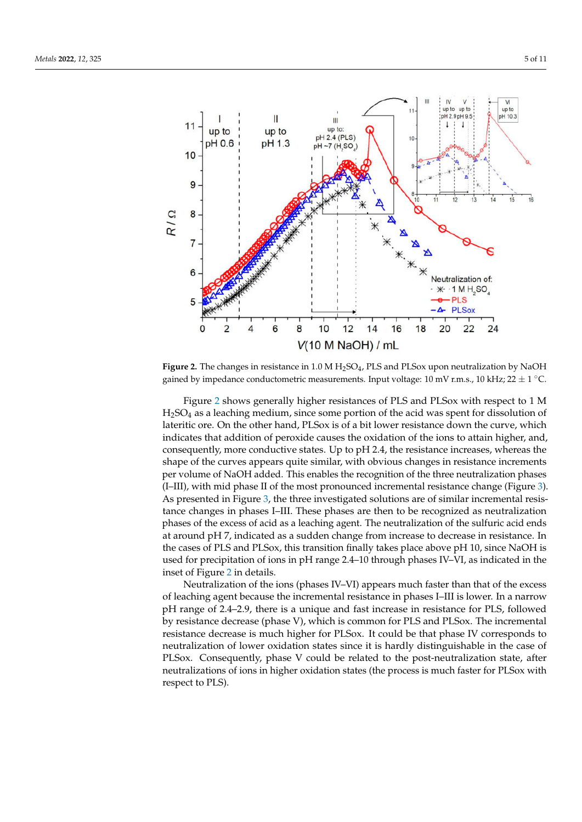<span id="page-4-0"></span>

**Figure 2.** The changes in resistance in 1.0 M H2SO<sup>4</sup> , PLS and PLSox upon neutralization by NaOH gained by impedance conductometric measurements. Input voltage: 10 mV r.m.s., 10 kHz; 22  $\pm$  1 °C.

Figure [2](#page-4-0) shows generally higher resistances of PLS and PLSox with respect to 1 M H2SO<sup>4</sup> as a leaching medium, since some portion of the acid was spent for dissolution of lateritic ore. On the other hand, PLSox is of a bit lower resistance down the curve, which indicates that addition of peroxide causes the oxidation of the ions to attain higher, and, consequently, more conductive states. Up to pH 2.4, the resistance increases, whereas the shape of the curves appears quite similar, with obvious changes in resistance increments per volume of NaOH added. This enables the recognition of the three neutralization phases (I–III), with mid phase II of the most pronounced incremental resistance change (Figure [3\)](#page-5-0). As presented in Figure [3,](#page-5-0) the three investigated solutions are of similar incremental resistance changes in phases I–III. These phases are then to be recognized as neutralization phases of the excess of acid as a leaching agent. The neutralization of the sulfuric acid ends at around pH 7, indicated as a sudden change from increase to decrease in resistance. In the cases of PLS and PLSox, this transition finally takes place above pH 10, since NaOH is used for precipitation of ions in pH range 2.4–10 through phases IV–VI, as indicated in the inset of Figure [2](#page-4-0) in details.

Neutralization of the ions (phases IV–VI) appears much faster than that of the excess of leaching agent because the incremental resistance in phases I–III is lower. In a narrow pH range of 2.4–2.9, there is a unique and fast increase in resistance for PLS, followed by resistance decrease (phase V), which is common for PLS and PLSox. The incremental resistance decrease is much higher for PLSox. It could be that phase IV corresponds to neutralization of lower oxidation states since it is hardly distinguishable in the case of PLSox. Consequently, phase V could be related to the post-neutralization state, after neutralizations of ions in higher oxidation states (the process is much faster for PLSox with respect to PLS).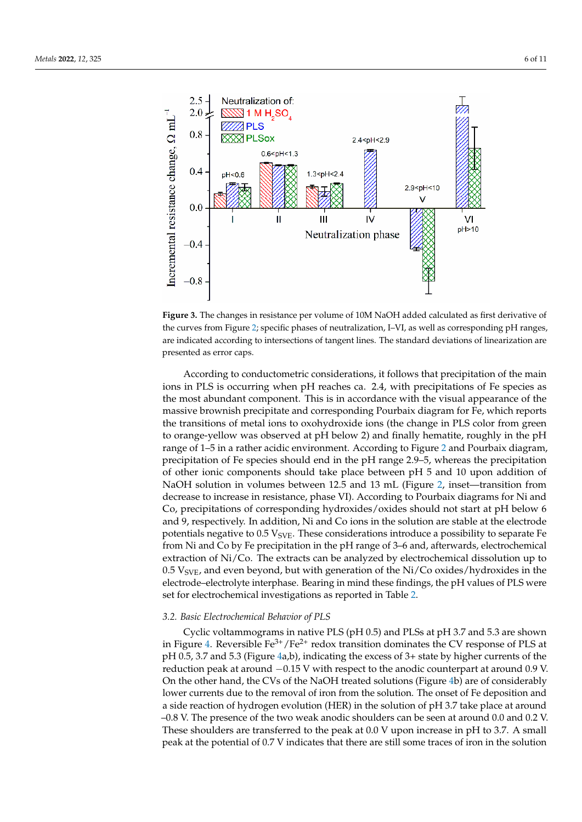<span id="page-5-0"></span>

**Figure 3.** The changes in resistance per volume of 10M NaOH added calculated as first derivative of the curves from Figure [2;](#page-4-0) specific phases of neutralization, I–VI, as well as corresponding pH ranges, are indicated according to intersections of tangent lines. The standard deviations of linearization are presented as error caps.

According to conductometric considerations, it follows that precipitation of the main ions in PLS is occurring when pH reaches ca. 2.4, with precipitations of Fe species as the most abundant component. This is in accordance with the visual appearance of the massive brownish precipitate and corresponding Pourbaix diagram for Fe, which reports the transitions of metal ions to oxohydroxide ions (the change in PLS color from green to orange-yellow was observed at pH below 2) and finally hematite, roughly in the pH range of 1–5 in a rather acidic environment. According to Figure [2](#page-4-0) and Pourbaix diagram, precipitation of Fe species should end in the pH range 2.9–5, whereas the precipitation of other ionic components should take place between pH 5 and 10 upon addition of NaOH solution in volumes between 12.5 and 13 mL (Figure [2,](#page-4-0) inset—transition from decrease to increase in resistance, phase VI). According to Pourbaix diagrams for Ni and Co, precipitations of corresponding hydroxides/oxides should not start at pH below 6 and 9, respectively. In addition, Ni and Co ions in the solution are stable at the electrode potentials negative to  $0.5$   $V_{SVE}$ . These considerations introduce a possibility to separate Fe from Ni and Co by Fe precipitation in the pH range of 3–6 and, afterwards, electrochemical extraction of Ni/Co. The extracts can be analyzed by electrochemical dissolution up to 0.5  $V_{SVE}$ , and even beyond, but with generation of the Ni/Co oxides/hydroxides in the electrode–electrolyte interphase. Bearing in mind these findings, the pH values of PLS were set for electrochemical investigations as reported in Table [2.](#page-2-0)

### *3.2. Basic Electrochemical Behavior of PLS*

Cyclic voltammograms in native PLS (pH 0.5) and PLSs at pH 3.7 and 5.3 are shown in Figure [4.](#page-6-0) Reversible  $\text{Fe}^{3+}/\text{Fe}^{2+}$  redox transition dominates the CV response of PLS at pH 0.5, 3.7 and 5.3 (Figure [4a](#page-6-0),b), indicating the excess of 3+ state by higher currents of the reduction peak at around −0.15 V with respect to the anodic counterpart at around 0.9 V. On the other hand, the CVs of the NaOH treated solutions (Figure [4b](#page-6-0)) are of considerably lower currents due to the removal of iron from the solution. The onset of Fe deposition and a side reaction of hydrogen evolution (HER) in the solution of pH 3.7 take place at around –0.8 V. The presence of the two weak anodic shoulders can be seen at around 0.0 and 0.2 V. These shoulders are transferred to the peak at 0.0 V upon increase in pH to 3.7. A small peak at the potential of 0.7 V indicates that there are still some traces of iron in the solution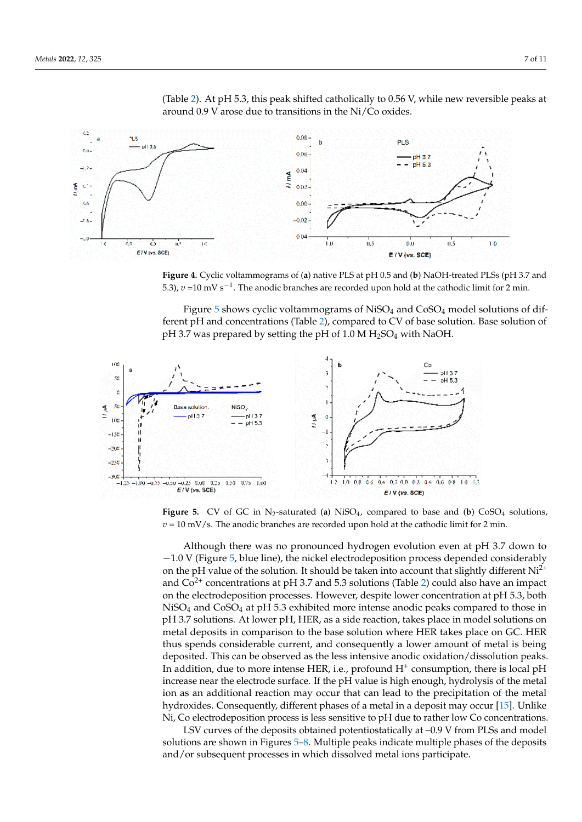

<span id="page-6-0"></span>(Table [2\)](#page-2-0). At pH 5.3, this peak shifted catholically to 0.56 V, while new reversible peaks at around 0.9 V arose due to transitions in the Ni/Co oxides.

**Figure 4.** Cyclic voltammograms of (**a**) native PLS at pH 0.5 and (**b**) NaOH-treated PLSs (pH 3.7 and − 5.3), *v* =10 mV s<sup>-1</sup>. The anodic branches are recorded upon hold at the cathodic limit for 2 min.

<span id="page-6-1"></span>ferent pH and concentrations (Table [2\)](#page-2-0), compared to CV of base solution. Base solution of Figure  $5$  shows cyclic voltammograms of NiSO<sub>4</sub> and CoSO<sub>4</sub> model solutions of difpH 3.7 was prepared by setting the pH of  $1.0 M H<sub>2</sub>SO<sub>4</sub>$  with NaOH.



**Figure 5.** CV of GC in  $N_2$ -saturated (**a**) NiSO<sub>4</sub>, compared to base and (**b**) CoSO<sub>4</sub> solutions,  $v = 10$  mV/s. The anodic branches are recorded upon hold at the cathodic limit for 2 min.

Although there was no pronounced hydrogen evolution even at pH 3.7 down to −1.0 V (Figure [5,](#page-6-1) blue line), the nickel electrodeposition process depended considerably on the pH value of the solution. It should be taken into account that slightly different  $Ni^{2+}$ and  $Co<sup>2+</sup>$  concentrations at pH 3.7 and 5.3 solutions (Table [2\)](#page-2-0) could also have an impact on the electrodeposition processes. However, despite lower concentration at pH 5.3, both  $NiSO<sub>4</sub>$  and  $CoSO<sub>4</sub>$  at pH 5.3 exhibited more intense anodic peaks compared to those in pH 3.7 solutions. At lower pH, HER, as a side reaction, takes place in model solutions on metal deposits in comparison to the base solution where HER takes place on GC. HER thus spends considerable current, and consequently a lower amount of metal is being deposited. This can be observed as the less intensive anodic oxidation/dissolution peaks. In addition, due to more intense HER, i.e., profound  $H^+$  consumption, there is local pH increase near the electrode surface. If the pH value is high enough, hydrolysis of the metal ion as an additional reaction may occur that can lead to the precipitation of the metal hydroxides. Consequently, different phases of a metal in a deposit may occur [\[15\]](#page-10-4). Unlike Ni, Co electrodeposition process is less sensitive to pH due to rather low Co concentrations.

LSV curves of the deposits obtained potentiostatically at –0.9 V from PLSs and model solutions are shown in Figures [5–](#page-6-1)[8.](#page-7-0) Multiple peaks indicate multiple phases of the deposits and/or subsequent processes in which dissolved metal ions participate.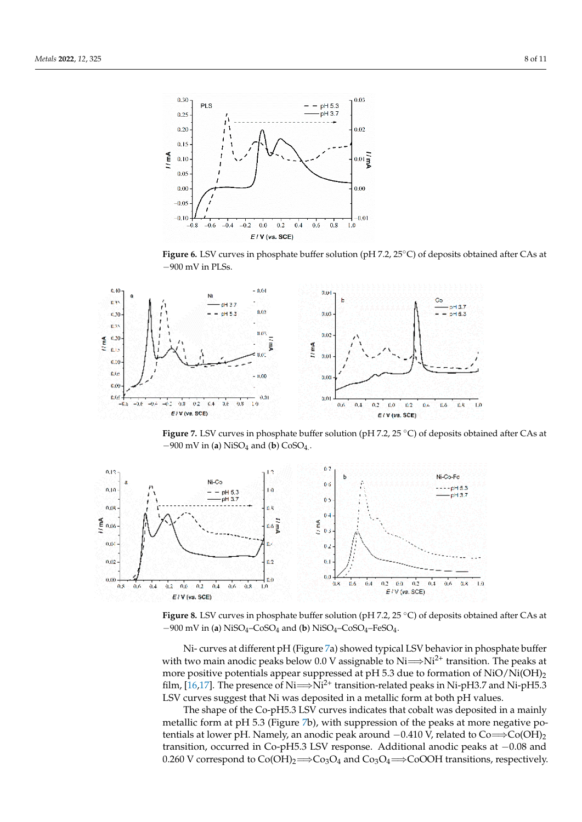<span id="page-7-2"></span>

<span id="page-7-1"></span>**Figure 6.** LSV curves in phosphate buffer solution (pH 7.2, 25◦C) of deposits obtained after CAs at −900 mV in PLSs.



<span id="page-7-0"></span> $-900$  mV in (**a**) NiSO<sub>4</sub> and (**b**) CoSO<sub>4</sub>. **Figure 7.** LSV curves in phosphate buffer solution (pH 7.2, 25 ◦C) of deposits obtained after CAs at



**Figure 8.** LSV curves in phosphate buffer solution (pH 7.2, 25 ◦C) of deposits obtained after CAs at −900 mV in (**a**) NiSO4–CoSO<sup>4</sup> and (**b**) NiSO4–CoSO4–FeSO<sup>4</sup> .

with two main anodic peaks below 0.0 V assignable to Ni⇒Ni<sup>2+</sup> transition. The peaks at film, [\[16,](#page-10-5)[17\]](#page-10-6). The presence of Ni $\Longrightarrow$ Ni<sup>2+</sup> transition-related peaks in Ni-pH3.7 and Ni-pH5.3 LSV curves suggest that Ni was deposited in a metallic form at both pH values. Ni- curves at different pH (Figure [7a](#page-7-1)) showed typical LSV behavior in phosphate buffer more positive potentials appear suppressed at pH 5.3 due to formation of  $NiO/Ni(OH)_2$ 

metallic form at pH 5.3 (Figure [7b](#page-7-1)), with suppression of the peaks at more negative potentials at lower pH. Namely, an anodic peak around  $-0.410 \text{ V}$ , related to Co⇒Co(OH)<sub>2</sub> 0.260 V correspond to  $Co(OH)_2 \Longrightarrow Co_3O_4$  and  $Co_3O_4 \Longrightarrow CoOOH$  transitions, respectively. The shape of the Co-pH5.3 LSV curves indicates that cobalt was deposited in a mainly transition, occurred in Co-pH5.3 LSV response. Additional anodic peaks at −0.08 and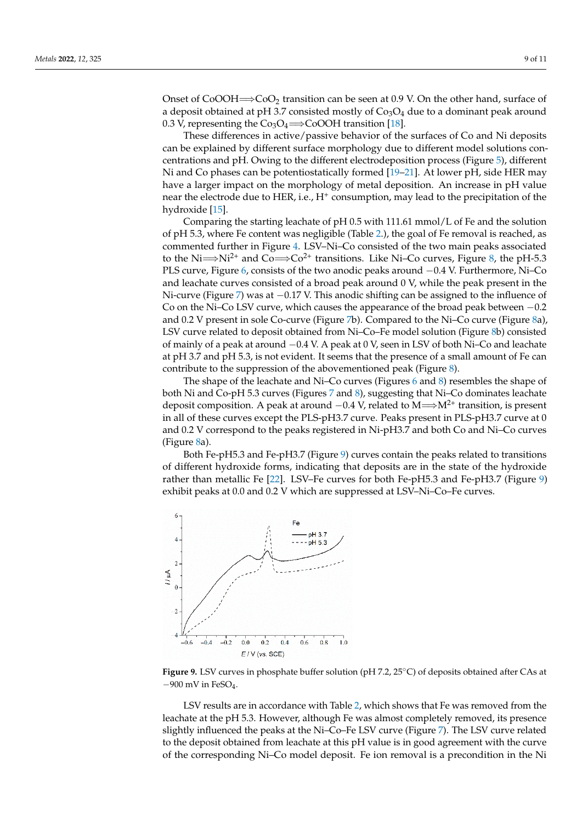Onset of CoOOH $\Longrightarrow$ CoO<sub>2</sub> transition can be seen at 0.9 V. On the other hand, surface of a deposit obtained at pH 3.7 consisted mostly of  $Co<sub>3</sub>O<sub>4</sub>$  due to a dominant peak around 0.3 V, representing the  $Co<sub>3</sub>O<sub>4</sub>$   $\Longrightarrow$  CoOOH transition [\[18\]](#page-10-7).

These differences in active/passive behavior of the surfaces of Co and Ni deposits can be explained by different surface morphology due to different model solutions concentrations and pH. Owing to the different electrodeposition process (Figure [5\)](#page-6-1), different Ni and Co phases can be potentiostatically formed [\[19–](#page-10-8)[21\]](#page-10-9). At lower pH, side HER may have a larger impact on the morphology of metal deposition. An increase in pH value near the electrode due to HER, i.e., H<sup>+</sup> consumption, may lead to the precipitation of the hydroxide [\[15\]](#page-10-4).

Comparing the starting leachate of pH 0.5 with 111.61 mmol/L of Fe and the solution of pH 5.3, where Fe content was negligible (Table [2.](#page-2-0)), the goal of Fe removal is reached, as commented further in Figure [4.](#page-6-0) LSV–Ni–Co consisted of the two main peaks associated to the Ni $\Longrightarrow$ Ni<sup>2+</sup> and Co $\Longrightarrow$ Co<sup>2+</sup> transitions. Like Ni–Co curves, Figure [8,](#page-7-0) the pH-5.3 PLS curve, Figure [6,](#page-7-2) consists of the two anodic peaks around  $-0.4$  V. Furthermore, Ni–Co and leachate curves consisted of a broad peak around 0 V, while the peak present in the Ni-curve (Figure [7\)](#page-7-1) was at -0.17 V. This anodic shifting can be assigned to the influence of Co on the Ni–Co LSV curve, which causes the appearance of the broad peak between −0.2 and 0.2 V present in sole Co-curve (Figure [7b](#page-7-1)). Compared to the Ni–Co curve (Figure [8a](#page-7-0)), LSV curve related to deposit obtained from Ni–Co–Fe model solution (Figure [8b](#page-7-0)) consisted of mainly of a peak at around −0.4 V. A peak at 0 V, seen in LSV of both Ni–Co and leachate at pH 3.7 and pH 5.3, is not evident. It seems that the presence of a small amount of Fe can contribute to the suppression of the abovementioned peak (Figure [8\)](#page-7-0).

The shape of the leachate and Ni–Co curves (Figures [6](#page-7-2) and [8\)](#page-7-0) resembles the shape of both Ni and Co-pH 5.3 curves (Figures [7](#page-7-1) and [8\)](#page-7-0), suggesting that Ni–Co dominates leachate deposit composition. A peak at around  $-0.4$  V, related to M $\Longrightarrow$ M<sup>2+</sup> transition, is present in all of these curves except the PLS-pH3.7 curve. Peaks present in PLS-pH3.7 curve at 0 and 0.2 V correspond to the peaks registered in Ni-pH3.7 and both Co and Ni–Co curves (Figure [8a](#page-7-0)).

Both Fe-pH5.3 and Fe-pH3.7 (Figure [9\)](#page-8-0) curves contain the peaks related to transitions of different hydroxide forms, indicating that deposits are in the state of the hydroxide rather than metallic Fe [\[22\]](#page-10-10). LSV–Fe curves for both Fe-pH5.3 and Fe-pH3.7 (Figure [9\)](#page-8-0) exhibit peaks at 0.0 and 0.2 V which are suppressed at LSV–Ni–Co–Fe curves.

<span id="page-8-0"></span>

**Figure 9.** LSV curves in phosphate buffer solution (pH 7.2, 25◦C) of deposits obtained after CAs at  $-900$  mV in FeSO<sub>4</sub>.

LSV results are in accordance with Table [2,](#page-2-0) which shows that Fe was removed from the leachate at the pH 5.3. However, although Fe was almost completely removed, its presence slightly influenced the peaks at the Ni–Co–Fe LSV curve (Figure [7\)](#page-7-1). The LSV curve related to the deposit obtained from leachate at this pH value is in good agreement with the curve of the corresponding Ni–Co model deposit. Fe ion removal is a precondition in the Ni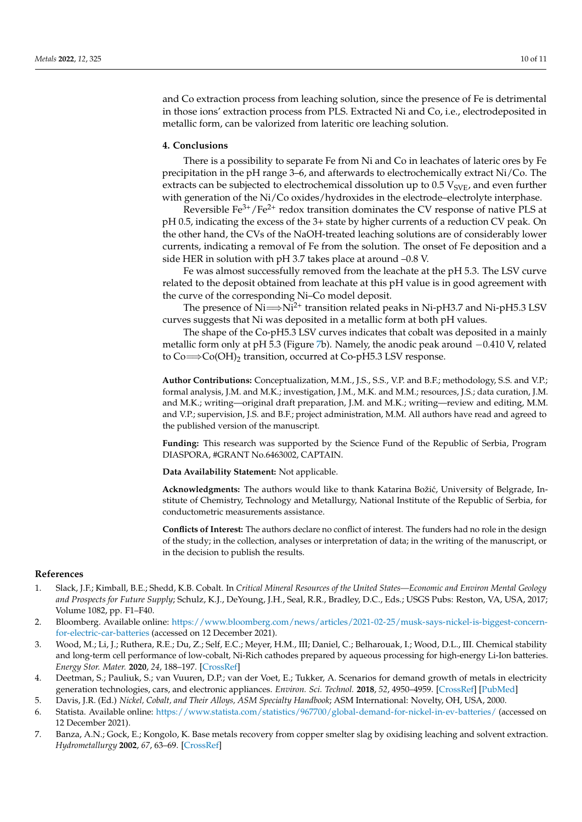and Co extraction process from leaching solution, since the presence of Fe is detrimental in those ions' extraction process from PLS. Extracted Ni and Co, i.e., electrodeposited in metallic form, can be valorized from lateritic ore leaching solution.

# **4. Conclusions**

There is a possibility to separate Fe from Ni and Co in leachates of lateric ores by Fe precipitation in the pH range 3–6, and afterwards to electrochemically extract Ni/Co. The extracts can be subjected to electrochemical dissolution up to  $0.5$  V<sub>SVE</sub>, and even further with generation of the Ni/Co oxides/hydroxides in the electrode–electrolyte interphase.

Reversible  $Fe^{3+}/Fe^{2+}$  redox transition dominates the CV response of native PLS at pH 0.5, indicating the excess of the 3+ state by higher currents of a reduction CV peak. On the other hand, the CVs of the NaOH-treated leaching solutions are of considerably lower currents, indicating a removal of Fe from the solution. The onset of Fe deposition and a side HER in solution with pH 3.7 takes place at around –0.8 V.

Fe was almost successfully removed from the leachate at the pH 5.3. The LSV curve related to the deposit obtained from leachate at this pH value is in good agreement with the curve of the corresponding Ni–Co model deposit.

The presence of  $Ni \rightarrow Ni^{2+}$  transition related peaks in Ni-pH3.7 and Ni-pH5.3 LSV curves suggests that Ni was deposited in a metallic form at both pH values.

The shape of the Co-pH5.3 LSV curves indicates that cobalt was deposited in a mainly metallic form only at pH 5.3 (Figure [7b](#page-7-1)). Namely, the anodic peak around −0.410 V, related to  $Co \rightarrow Co(OH)_2$  transition, occurred at Co-pH5.3 LSV response.

**Author Contributions:** Conceptualization, M.M., J.S., S.S., V.P. and B.F.; methodology, S.S. and V.P.; formal analysis, J.M. and M.K.; investigation, J.M., M.K. and M.M.; resources, J.S.; data curation, J.M. and M.K.; writing—original draft preparation, J.M. and M.K.; writing—review and editing, M.M. and V.P.; supervision, J.S. and B.F.; project administration, M.M. All authors have read and agreed to the published version of the manuscript.

**Funding:** This research was supported by the Science Fund of the Republic of Serbia, Program DIASPORA, #GRANT No.6463002, CAPTAIN.

**Data Availability Statement:** Not applicable.

Acknowledgments: The authors would like to thank Katarina Božić, University of Belgrade, Institute of Chemistry, Technology and Metallurgy, National Institute of the Republic of Serbia, for conductometric measurements assistance.

**Conflicts of Interest:** The authors declare no conflict of interest. The funders had no role in the design of the study; in the collection, analyses or interpretation of data; in the writing of the manuscript, or in the decision to publish the results.

### **References**

- <span id="page-9-0"></span>1. Slack, J.F.; Kimball, B.E.; Shedd, K.B. Cobalt. In *Critical Mineral Resources of the United States—Economic and Environ Mental Geology and Prospects for Future Supply*; Schulz, K.J., DeYoung, J.H., Seal, R.R., Bradley, D.C., Eds.; USGS Pubs: Reston, VA, USA, 2017; Volume 1082, pp. F1–F40.
- <span id="page-9-1"></span>2. Bloomberg. Available online: [https://www.bloomberg.com/news/articles/2021-02-25/musk-says-nickel-is-biggest-concern](https://www.bloomberg.com/news/articles/2021-02-25/musk-says-nickel-is-biggest-concern-for-electric-car-batteries)[for-electric-car-batteries](https://www.bloomberg.com/news/articles/2021-02-25/musk-says-nickel-is-biggest-concern-for-electric-car-batteries) (accessed on 12 December 2021).
- <span id="page-9-2"></span>3. Wood, M.; Li, J.; Ruthera, R.E.; Du, Z.; Self, E.C.; Meyer, H.M., III; Daniel, C.; Belharouak, I.; Wood, D.L., III. Chemical stability and long-term cell performance of low-cobalt, Ni-Rich cathodes prepared by aqueous processing for high-energy Li-Ion batteries. *Energy Stor. Mater.* **2020**, *24*, 188–197. [\[CrossRef\]](http://doi.org/10.1016/j.ensm.2019.08.020)
- <span id="page-9-3"></span>4. Deetman, S.; Pauliuk, S.; van Vuuren, D.P.; van der Voet, E.; Tukker, A. Scenarios for demand growth of metals in electricity generation technologies, cars, and electronic appliances. *Environ. Sci. Technol.* **2018**, *52*, 4950–4959. [\[CrossRef\]](http://doi.org/10.1021/acs.est.7b05549) [\[PubMed\]](http://www.ncbi.nlm.nih.gov/pubmed/29533657)
- 5. Davis, J.R. (Ed.) *Nickel, Cobalt, and Their Alloys, ASM Specialty Handbook*; ASM International: Novelty, OH, USA, 2000.
- <span id="page-9-4"></span>6. Statista. Available online: <https://www.statista.com/statistics/967700/global-demand-for-nickel-in-ev-batteries/> (accessed on 12 December 2021).
- <span id="page-9-5"></span>7. Banza, A.N.; Gock, E.; Kongolo, K. Base metals recovery from copper smelter slag by oxidising leaching and solvent extraction. *Hydrometallurgy* **2002**, *67*, 63–69. [\[CrossRef\]](http://doi.org/10.1016/S0304-386X(02)00138-X)